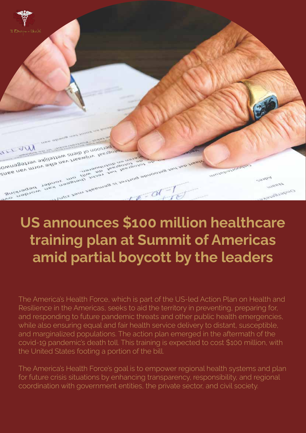

## **US announces \$100 million healthcare training plan at Summit of Americas amid partial boycott by the leaders**

The America's Health Force, which is part of the US-led Action Plan on Health and Resilience in the Americas, seeks to aid the territory in preventing, preparing for, and responding to future pandemic threats and other public health emergencies, while also ensuring equal and fair health service delivery to distant, susceptible, and marginalized populations. The action plan emerged in the aftermath of the covid-19 pandemic's death toll. This training is expected to cost \$100 million, with the United States footing a portion of the bill.

The America's Health Force's goal is to empower regional health systems and plan for future crisis situations by enhancing transparency, responsibility, and regional coordination with government entities, the private sector, and civil society.